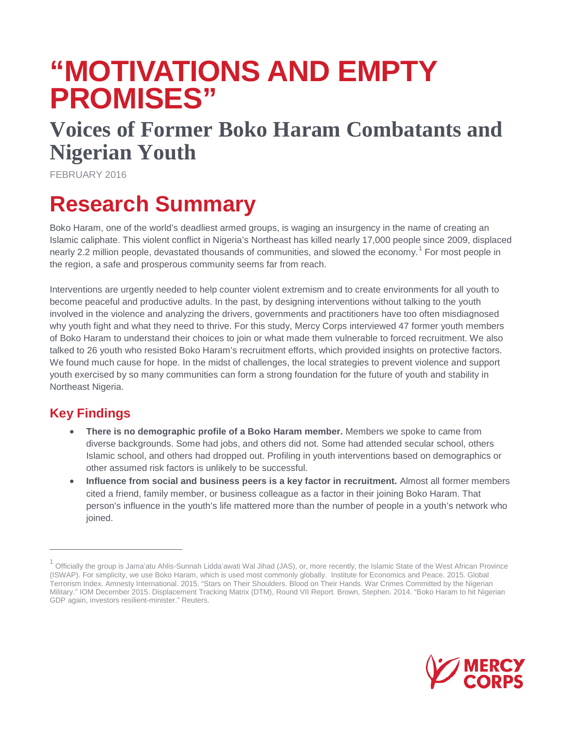# **"MOTIVATIONS AND EMPTY PROMISES"**

## **Voices of Former Boko Haram Combatants and Nigerian Youth**

FEBRUARY 2016

## **Research Summary**

Boko Haram, one of the world's deadliest armed groups, is waging an insurgency in the name of creating an Islamic caliphate. This violent conflict in Nigeria's Northeast has killed nearly 17,000 people since 2009, displaced nearly 2.2 million people, devastated thousands of communities, and slowed the economy.<sup>[1](#page-1-0)</sup> For most people in the region, a safe and prosperous community seems far from reach.

Interventions are urgently needed to help counter violent extremism and to create environments for all youth to become peaceful and productive adults. In the past, by designing interventions without talking to the youth involved in the violence and analyzing the drivers, governments and practitioners have too often misdiagnosed why youth fight and what they need to thrive. For this study, Mercy Corps interviewed 47 former youth members of Boko Haram to understand their choices to join or what made them vulnerable to forced recruitment. We also talked to 26 youth who resisted Boko Haram's recruitment efforts, which provided insights on protective factors. We found much cause for hope. In the midst of challenges, the local strategies to prevent violence and support youth exercised by so many communities can form a strong foundation for the future of youth and stability in Northeast Nigeria.

### **Key Findings**

 $\overline{a}$ 

- **There is no demographic profile of a Boko Haram member.** Members we spoke to came from diverse backgrounds. Some had jobs, and others did not. Some had attended secular school, others Islamic school, and others had dropped out. Profiling in youth interventions based on demographics or other assumed risk factors is unlikely to be successful.
- **Influence from social and business peers is a key factor in recruitment.** Almost all former members cited a friend, family member, or business colleague as a factor in their joining Boko Haram. That person's influence in the youth's life mattered more than the number of people in a youth's network who ioined.



<sup>1</sup> Officially the group is Jama'atu Ahlis-Sunnah Lidda'awati Wal Jihad (JAS), or, more recently, the Islamic State of the West African Province (ISWAP). For simplicity, we use Boko Haram, which is used most commonly globally. Institute for Economics and Peace. 2015. Global Terrorism Index. Amnesty International. 2015. "Stars on Their Shoulders. Blood on Their Hands. War Crimes Committed by the Nigerian Military." IOM December 2015. Displacement Tracking Matrix (DTM), Round VII Report. Brown, Stephen. 2014. "Boko Haram to hit Nigerian GDP again, investors resilient-minister." Reuters.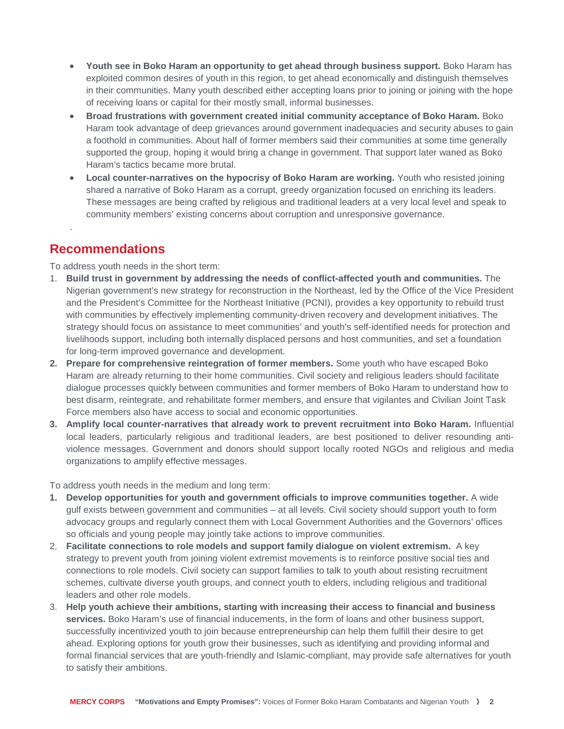- **Youth see in Boko Haram an opportunity to get ahead through business support.** Boko Haram has exploited common desires of youth in this region, to get ahead economically and distinguish themselves in their communities. Many youth described either accepting loans prior to joining or joining with the hope of receiving loans or capital for their mostly small, informal businesses.
- **Broad frustrations with government created initial community acceptance of Boko Haram.** Boko Haram took advantage of deep grievances around government inadequacies and security abuses to gain a foothold in communities. About half of former members said their communities at some time generally supported the group, hoping it would bring a change in government. That support later waned as Boko Haram's tactics became more brutal.
- Local counter-narratives on the hypocrisy of Boko Haram are working. Youth who resisted joining shared a narrative of Boko Haram as a corrupt, greedy organization focused on enriching its leaders. These messages are being crafted by religious and traditional leaders at a very local level and speak to community members' existing concerns about corruption and unresponsive governance.

### **Recommendations**

.

To address youth needs in the short term:

- 1. **Build trust in government by addressing the needs of conflict-affected youth and communities.** The Nigerian government's new strategy for reconstruction in the Northeast, led by the Office of the Vice President and the President's Committee for the Northeast Initiative (PCNI), provides a key opportunity to rebuild trust with communities by effectively implementing community-driven recovery and development initiatives. The strategy should focus on assistance to meet communities' and youth's self-identified needs for protection and livelihoods support, including both internally displaced persons and host communities, and set a foundation for long-term improved governance and development.
- **2. Prepare for comprehensive reintegration of former members.** Some youth who have escaped Boko Haram are already returning to their home communities. Civil society and religious leaders should facilitate dialogue processes quickly between communities and former members of Boko Haram to understand how to best disarm, reintegrate, and rehabilitate former members, and ensure that vigilantes and Civilian Joint Task Force members also have access to social and economic opportunities.
- **3. Amplify local counter-narratives that already work to prevent recruitment into Boko Haram.** Influential local leaders, particularly religious and traditional leaders, are best positioned to deliver resounding antiviolence messages. Government and donors should support locally rooted NGOs and religious and media organizations to amplify effective messages.

To address youth needs in the medium and long term:

- **1. Develop opportunities for youth and government officials to improve communities together.** A wide gulf exists between government and communities – at all levels. Civil society should support youth to form advocacy groups and regularly connect them with Local Government Authorities and the Governors' offices so officials and young people may jointly take actions to improve communities.
- <span id="page-1-0"></span>2. **Facilitate connections to role models and support family dialogue on violent extremism.** A key strategy to prevent youth from joining violent extremist movements is to reinforce positive social ties and connections to role models. Civil society can support families to talk to youth about resisting recruitment schemes, cultivate diverse youth groups, and connect youth to elders, including religious and traditional leaders and other role models.
- 3. **Help youth achieve their ambitions, starting with increasing their access to financial and business services.** Boko Haram's use of financial inducements, in the form of loans and other business support, successfully incentivized youth to join because entrepreneurship can help them fulfill their desire to get ahead. Exploring options for youth grow their businesses, such as identifying and providing informal and formal financial services that are youth-friendly and Islamic-compliant, may provide safe alternatives for youth to satisfy their ambitions.